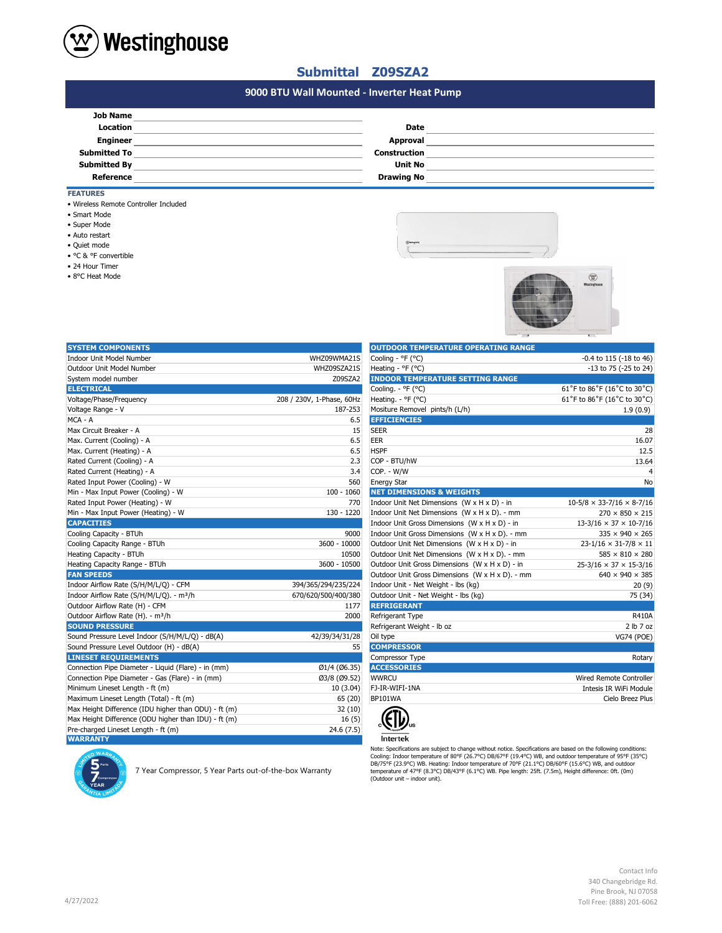

• 24 Hour Timer • 8°C Heat Mode

• Auto restart • Quiet mode • °C & °F convertible

• Smart Mode

• Super Mode

• Wireless Remote Controller Included

## **Submittal Z09SZA2**

## **#N/A 9000 BTU Wall Mounted - Inverter Heat Pump**

| <b>Job Name</b>     |                   |  |
|---------------------|-------------------|--|
| <b>Location</b>     | Date              |  |
| <b>Engineer</b>     | Approval          |  |
| <b>Submitted To</b> | Construction      |  |
| <b>Submitted By</b> | <b>Unit No</b>    |  |
| Reference           | <b>Drawing No</b> |  |
| <b>FEATURES</b>     |                   |  |





| <b>SYSTEM COMPONENTS</b>                             |                           | <b>OUTDOOR TEMPERATURE OPERATING RANGE</b>      |                                       |
|------------------------------------------------------|---------------------------|-------------------------------------------------|---------------------------------------|
| Indoor Unit Model Number                             | WHZ09WMA21S               | Cooling - °F (°C)                               | -0.4 to 115 (-18 to 46)               |
| Outdoor Unit Model Number                            | WHZ09SZA21S               | Heating - °F (°C)                               | -13 to 75 (-25 to 24)                 |
| System model number                                  | Z09SZA2                   | <b>INDOOR TEMPERATURE SETTING RANGE</b>         |                                       |
| <b>ELECTRICAL</b>                                    |                           | Cooling. - °F (°C)                              | 61°F to 86°F (16°C to 30°C)           |
| Voltage/Phase/Frequency                              | 208 / 230V, 1-Phase, 60Hz | Heating. - ${}^{\circ}$ F ( ${}^{\circ}$ C)     | 61°F to 86°F (16°C to 30°C)           |
| Voltage Range - V                                    | 187-253                   | Mositure Removel pints/h (L/h)                  | 1.9(0.9)                              |
| MCA - A                                              | 6.5                       | <b>EFFICIENCIES</b>                             |                                       |
| Max Circuit Breaker - A                              | 15                        | <b>SEER</b>                                     | 28                                    |
| Max. Current (Cooling) - A                           | 6.5                       | EER                                             | 16.07                                 |
| Max. Current (Heating) - A                           | 6.5                       | <b>HSPF</b>                                     | 12.5                                  |
| Rated Current (Cooling) - A                          | 2.3                       | COP - BTU/hW                                    | 13.64                                 |
| Rated Current (Heating) - A                          | 3.4                       | COP. - W/W                                      | 4                                     |
| Rated Input Power (Cooling) - W                      | 560                       | <b>Energy Star</b>                              | <b>No</b>                             |
| Min - Max Input Power (Cooling) - W                  | $100 - 1060$              | <b>NET DIMENSIONS &amp; WEIGHTS</b>             |                                       |
| Rated Input Power (Heating) - W                      | 770                       | Indoor Unit Net Dimensions (W x H x D) - in     | $10-5/8 \times 33-7/16 \times 8-7/16$ |
| Min - Max Input Power (Heating) - W                  | $130 - 1220$              | Indoor Unit Net Dimensions (W x H x D). - mm    | $270 \times 850 \times 215$           |
| <b>CAPACITIES</b>                                    |                           | Indoor Unit Gross Dimensions (W x H x D) - in   | $13-3/16 \times 37 \times 10-7/16$    |
| Cooling Capacity - BTUh                              | 9000                      | Indoor Unit Gross Dimensions (W x H x D). - mm  | $335 \times 940 \times 265$           |
| Cooling Capacity Range - BTUh                        | 3600 - 10000              | Outdoor Unit Net Dimensions (W x H x D) - in    | $23 - 1/16 \times 31 - 7/8 \times 11$ |
| Heating Capacity - BTUh                              | 10500                     | Outdoor Unit Net Dimensions (W x H x D). - mm   | $585 \times 810 \times 280$           |
| Heating Capacity Range - BTUh                        | 3600 - 10500              | Outdoor Unit Gross Dimensions (W x H x D) - in  | $25-3/16 \times 37 \times 15-3/16$    |
| <b>FAN SPEEDS</b>                                    |                           | Outdoor Unit Gross Dimensions (W x H x D). - mm | $640 \times 940 \times 385$           |
| Indoor Airflow Rate (S/H/M/L/Q) - CFM                | 394/365/294/235/224       | Indoor Unit - Net Weight - lbs (kg)             | 20(9)                                 |
| Indoor Airflow Rate (S/H/M/L/Q). - m <sup>3</sup> /h | 670/620/500/400/380       | Outdoor Unit - Net Weight - Ibs (kg)            | 75 (34)                               |
| Outdoor Airflow Rate (H) - CFM                       | 1177                      | <b>REFRIGERANT</b>                              |                                       |
| Outdoor Airflow Rate (H). - m <sup>3</sup> /h        | 2000                      | Refrigerant Type                                | <b>R410A</b>                          |
| <b>SOUND PRESSURE</b>                                |                           | Refrigerant Weight - Ib oz                      | 2 lb 7 oz                             |
| Sound Pressure Level Indoor (S/H/M/L/Q) - dB(A)      | 42/39/34/31/28            | Oil type                                        | <b>VG74 (POE)</b>                     |
| Sound Pressure Level Outdoor (H) - dB(A)             | 55                        | <b>COMPRESSOR</b>                               |                                       |
| <b>LINESET REQUIREMENTS</b>                          |                           | Compressor Type                                 | Rotary                                |
| Connection Pipe Diameter - Liquid (Flare) - in (mm)  | Ø1/4 (Ø6.35)              | <b>ACCESSORIES</b>                              |                                       |
| Connection Pipe Diameter - Gas (Flare) - in (mm)     | Ø3/8 (Ø9.52)              | <b>WWRCU</b>                                    | Wired Remote Controller               |
| Minimum Lineset Length - ft (m)                      | 10(3.04)                  | FJ-IR-WIFI-1NA                                  | Intesis IR WiFi Module                |
| Maximum Lineset Length (Total) - ft (m)              | 65 (20)                   | <b>BP101WA</b>                                  | Cielo Breez Plus                      |
| Max Height Difference (IDU higher than ODU) - ft (m) | 32(10)                    |                                                 |                                       |
| Max Height Difference (ODU higher than IDU) - ft (m) | 16(5)                     |                                                 |                                       |
| Pre-charged Lineset Length - ft (m)                  | 24.6(7.5)                 |                                                 |                                       |
| <b>WARRANTY</b>                                      |                           | Intertek                                        |                                       |

| <b>OUTDOOR TEMPERATURE OPERATING RANGE</b>      |                                       |
|-------------------------------------------------|---------------------------------------|
| Cooling - °F (°C)                               | $-0.4$ to 115 ( $-18$ to 46)          |
| Heating - °F (°C)                               | -13 to 75 (-25 to 24)                 |
| <b>INDOOR TEMPERATURE SETTING RANGE</b>         |                                       |
| Cooling. - °F (°C)                              | 61°F to 86°F (16°C to 30°C)           |
| Heating. - ${}^{\circ}$ F ( ${}^{\circ}$ C)     | 61°F to 86°F (16°C to 30°C)           |
| Mositure Removel pints/h (L/h)                  | 1.9(0.9)                              |
| <b>EFFICIENCIES</b>                             |                                       |
| <b>SEER</b>                                     | 28                                    |
| EER                                             | 16.07                                 |
| <b>HSPF</b>                                     | 12.5                                  |
| COP - BTU/hW                                    | 13.64                                 |
| COP. - W/W                                      | 4                                     |
| <b>Energy Star</b>                              | No                                    |
| <b>NET DIMENSIONS &amp; WEIGHTS</b>             |                                       |
| Indoor Unit Net Dimensions (W x H x D) - in     | $10-5/8 \times 33-7/16 \times 8-7/16$ |
| Indoor Unit Net Dimensions (W x H x D). - mm    | $270 \times 850 \times 215$           |
| Indoor Unit Gross Dimensions (W x H x D) - in   | $13-3/16 \times 37 \times 10-7/16$    |
| Indoor Unit Gross Dimensions (W x H x D). - mm  | $335 \times 940 \times 265$           |
| Outdoor Unit Net Dimensions (W x H x D) - in    | $23 - 1/16 \times 31 - 7/8 \times 11$ |
| Outdoor Unit Net Dimensions (W x H x D). - mm   | $585 \times 810 \times 280$           |
| Outdoor Unit Gross Dimensions (W x H x D) - in  | $25-3/16 \times 37 \times 15-3/16$    |
| Outdoor Unit Gross Dimensions (W x H x D). - mm | $640 \times 940 \times 385$           |
| Indoor Unit - Net Weight - lbs (kg)             | 20(9)                                 |
| Outdoor Unit - Net Weight - Ibs (kg)            | 75 (34)                               |
| <b>REFRIGERANT</b>                              |                                       |
| Refrigerant Type                                | R410A                                 |
| Refrigerant Weight - Ib oz                      | 2 lb 7 oz                             |
| Oil type                                        | <b>VG74 (POE)</b>                     |
| <b>COMPRESSOR</b>                               |                                       |
| Compressor Type                                 | Rotary                                |
| <b>ACCESSORIES</b>                              |                                       |
| <b>WWRCU</b>                                    | Wired Remote Controller               |
| FJ-IR-WIFI-1NA                                  | Intesis IR WiFi Module                |
| BP101WA                                         | Cielo Breez Plus                      |
|                                                 |                                       |



Note: Specifications are subject to change without notice. Specifications are based on the following conditions:<br>Cooling: Indoor temperature of 80°F (26.7°C) DB/67°F (19.4°C) WB, and outdoor temperature of 95°F (35°C)<br>DB/7

## Contact Info 340 Changebridge Rd. Pine Brook, NJ 07058 Toll Free: (888) 201-6062

| Pre-charged Lineset L |
|-----------------------|
| <b>WARRANTY</b>       |
| ARRAN                 |

7 Year Compressor, 5 Year Parts out-of-the-box Warranty